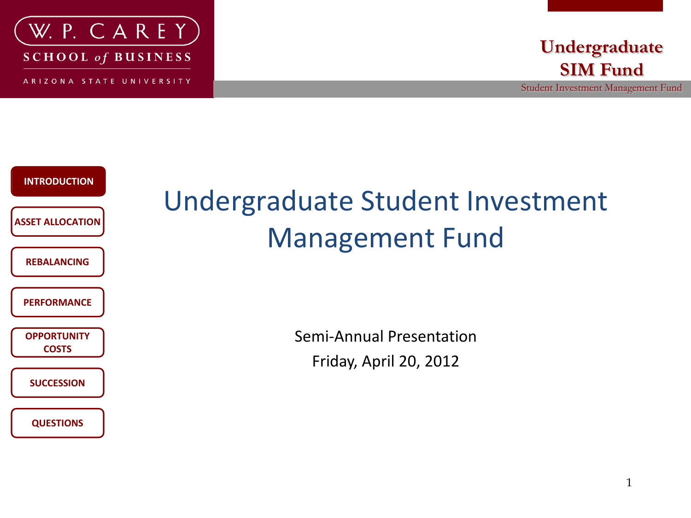

**SCHOOL of BUSINESS** 

ARIZONA STATE UNIVERSITY



Student Investment Management Fund



### Undergraduate Student Investment Management Fund

Semi-Annual Presentation Friday, April 20, 2012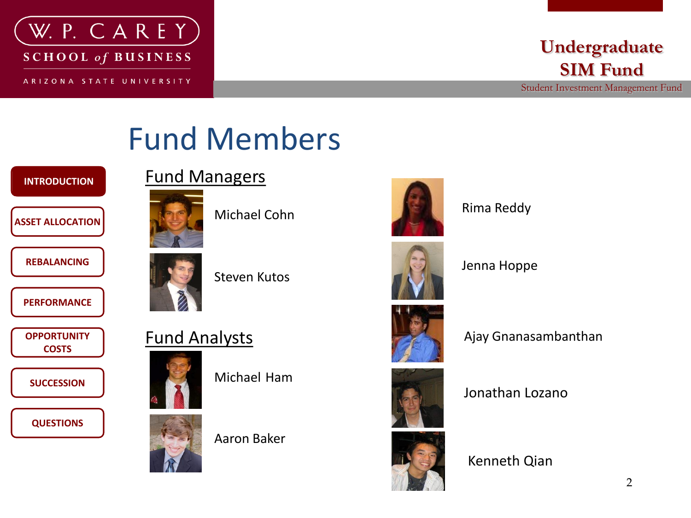

#### **Undergraduate SIM Fund**

Student Investment Management Fund

### Fund Members

#### **INTRODUCTION INTRODUCTION**

#### **ASSET ALLOCATION**

**REBALANCING**

**PERFORMANCE**

**OPPORTUNITY COSTS**

**SUCCESSION**

**QUESTIONS**



Michael Cohn



Fund Managers

Steven Kutos



Michael Ham



Aaron Baker





Rima Reddy

Jenna Hoppe



Ajay Gnanasambanthan



Jonathan Lozano

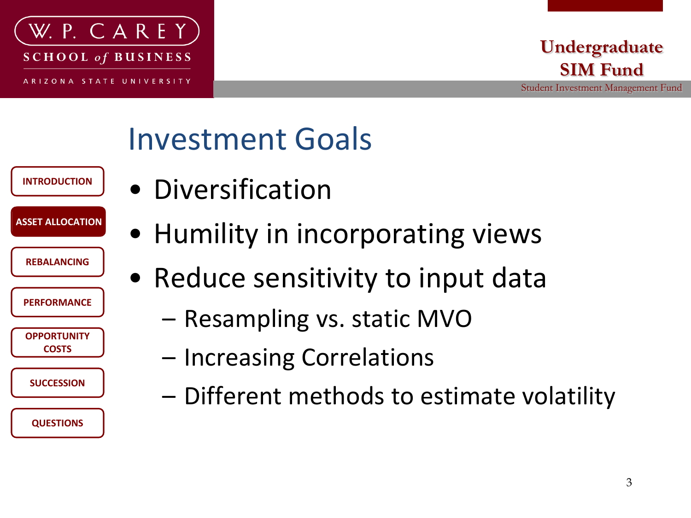

**INTRODUCTION**

**ASSET ALLOCATION ASSET ALLOCATION**

**PERFORMANCE**

**REBALANCING**

**OPPORTUNITY COSTS**

**SUCCESSION**

**QUESTIONS**

#### **Undergraduate SIM Fund**

Student Investment Management Fund

### Investment Goals

- Diversification
	- Humility in incorporating views
	- Reduce sensitivity to input data
		- Resampling vs. static MVO
		- Increasing Correlations
		- Different methods to estimate volatility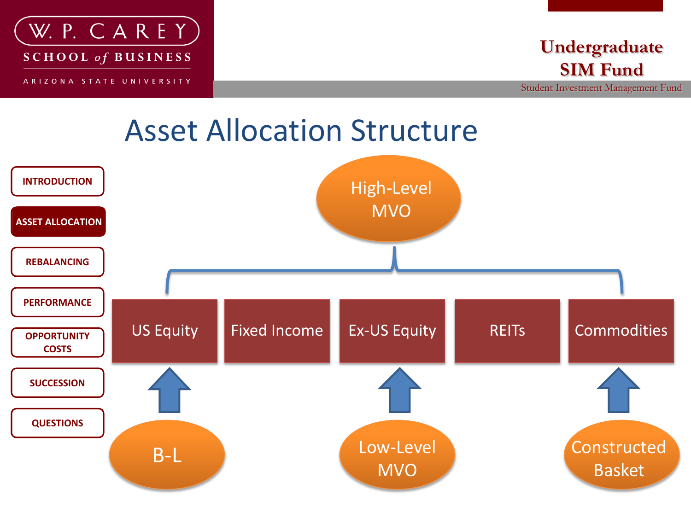

#### **Undergraduate SIM Fund**

Student Investment Management Fund

#### Asset Allocation Structure

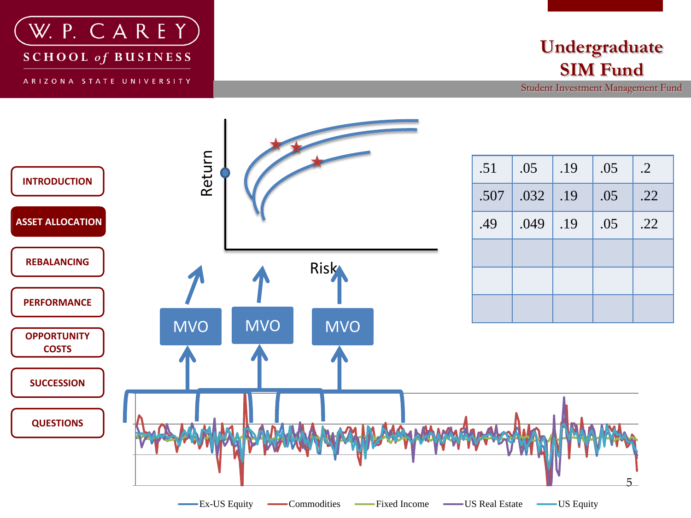

**SCHOOL** of **BUSINESS** 

ARIZONA STATE UNIVERSITY

#### **Undergraduate SIM Fund**

Student Investment Management Fund

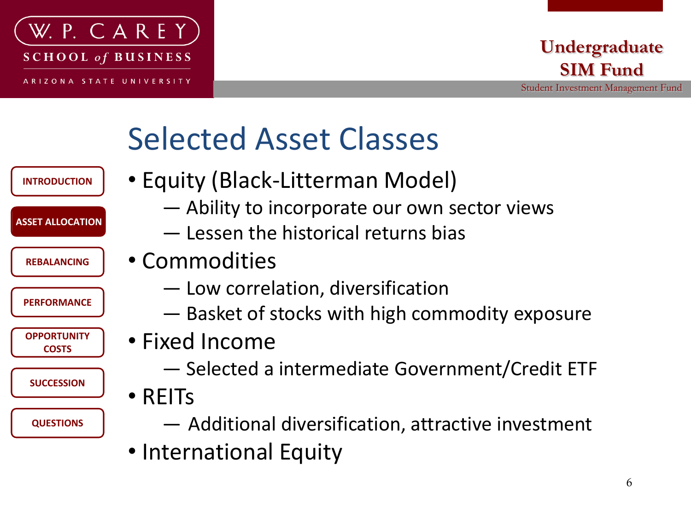

#### **Undergraduate SIM Fund**

Student Investment Management Fund

### Selected Asset Classes

- **INTRODUCTION**
- Equity (Black-Litterman Model)
- **ASSET ALLOCATION ASSET ALLOCATION**
	- **REBALANCING**

**PERFORMANCE**

**OPPORTUNITY COSTS**

**SUCCESSION**

**QUESTIONS**

- Commodities
	- ― Low correlation, diversification

— Lessen the historical returns bias

― Basket of stocks with high commodity exposure

— Ability to incorporate our own sector views

- Fixed Income
	- ― Selected a intermediate Government/Credit ETF
- REITs
	- ― Additional diversification, attractive investment
- International Equity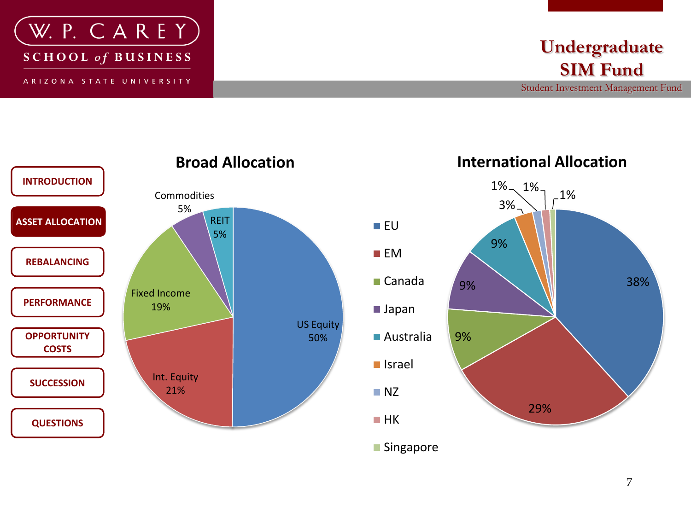



Student Investment Management Fund



#### **Broad Allocation**

**International Allocation**

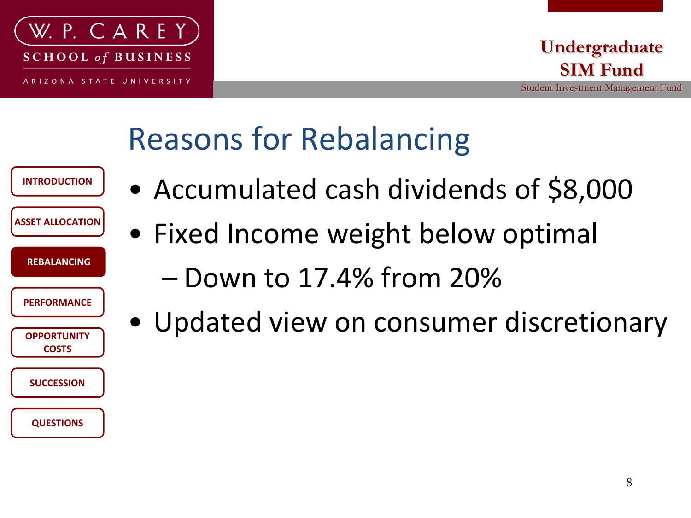

#### **Undergraduate SIM Fund**

### Reasons for Rebalancing

| <b>INTRODUCTION</b>         |  |
|-----------------------------|--|
| <b>ASSET ALLOCATION</b>     |  |
| <b>REBALANCING</b>          |  |
| <b>PERFORMANCE</b>          |  |
| <b>OPPORTUNITY</b><br>COSTS |  |
| <b>SUCCESSION</b>           |  |
| <b>QUESTIONS</b>            |  |

- Accumulated cash dividends of \$8,000
- Fixed Income weight below optimal
	- Down to 17.4% from 20%
- Updated view on consumer discretionary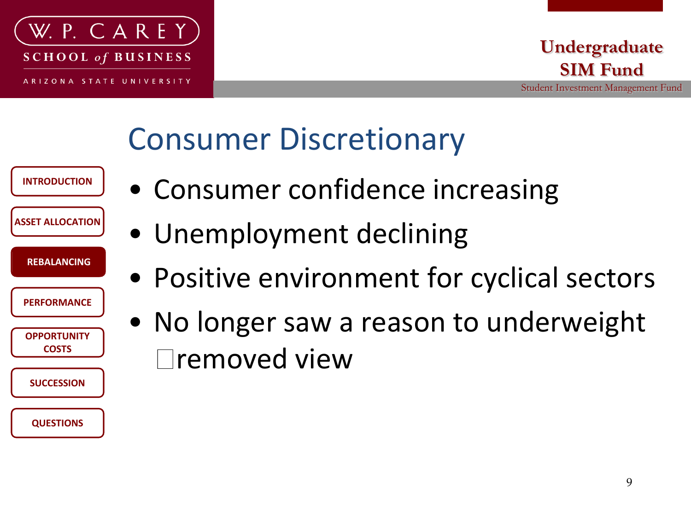

**INTRODUCTION**

**ASSET ALLOCATION**

**REBALANCING REBALANCING**

**PERFORMANCE**

**OPPORTUNITY COSTS**

**SUCCESSION**

**QUESTIONS**

#### **Undergraduate SIM Fund**

Student Investment Management Fund

### Consumer Discretionary

| • Consumer confidence increasing |  |  |  |
|----------------------------------|--|--|--|
|----------------------------------|--|--|--|

- Unemployment declining
- Positive environment for cyclical sectors
- No longer saw a reason to underweight removed view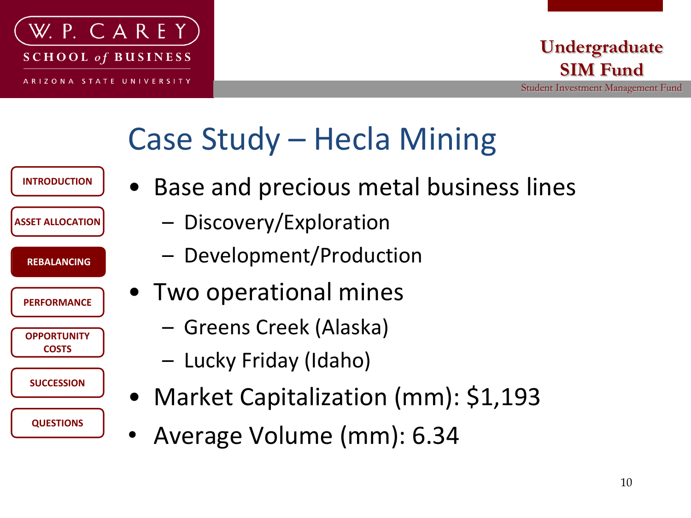

### Case Study – Hecla Mining



- Base and precious metal business lines
	- Discovery/Exploration
	- Development/Production
- Two operational mines
	- Greens Creek (Alaska)
	- Lucky Friday (Idaho)
- Market Capitalization (mm): \$1,193
- Average Volume (mm): 6.34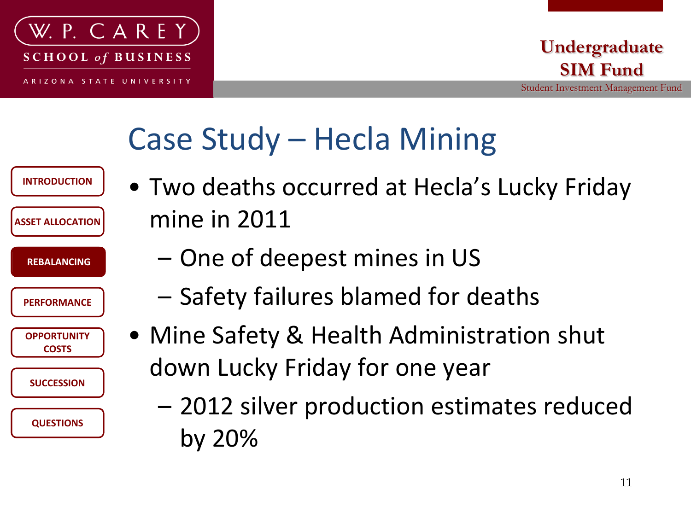

### Case Study – Hecla Mining

| <b>INTRODUCTION</b><br><b>ASSET ALLOCATION</b> | • Two deaths occurred at Hecla's Lucky Friday<br>mine in 2011 |
|------------------------------------------------|---------------------------------------------------------------|
| <b>REBALANCING</b>                             | - One of deepest mines in US                                  |
| <b>PERFORMANCE</b>                             | - Safety failures blamed for deaths                           |
| <b>OPPORTUNITY</b><br><b>COSTS</b>             | • Mine Safety & Health Administration shut                    |
| <b>SUCCESSION</b>                              | down Lucky Friday for one year                                |
| <b>QUESTIONS</b>                               | - 2012 silver production estimates reduced<br>by 20%          |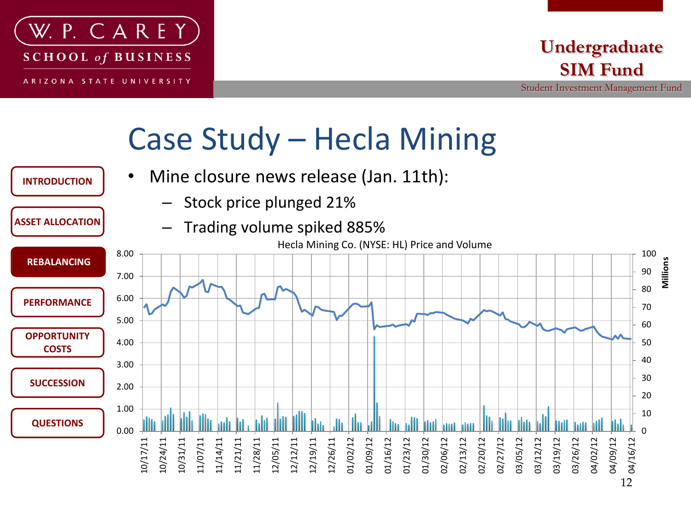

**INTRODUCTION**

**ASSET ALLOCATION**

Student Investment Management Fund

### Case Study – Hecla Mining

- Mine closure news release (Jan. 11th):
	- Stock price plunged 21%
	- Trading volume spiked 885%

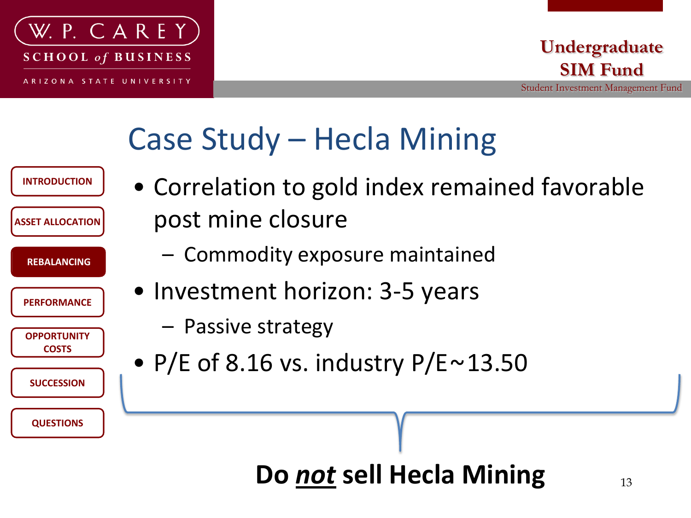

### Case Study – Hecla Mining

| <b>INTRODUCTION</b>                | • Correlation to gold index remained favorable |
|------------------------------------|------------------------------------------------|
| <b>ASSET ALLOCATION</b>            | post mine closure                              |
| <b>REBALANCING</b>                 | - Commodity exposure maintained                |
| <b>PERFORMANCE</b>                 | • Investment horizon: 3-5 years                |
| <b>OPPORTUNITY</b><br><b>COSTS</b> | - Passive strategy                             |
| <b>SUCCESSION</b>                  | • P/E of 8.16 vs. industry $P/E \sim 13.50$    |
|                                    |                                                |
| <b>QUESTIONS</b>                   |                                                |

#### **Do** *not* **sell Hecla Mining** 13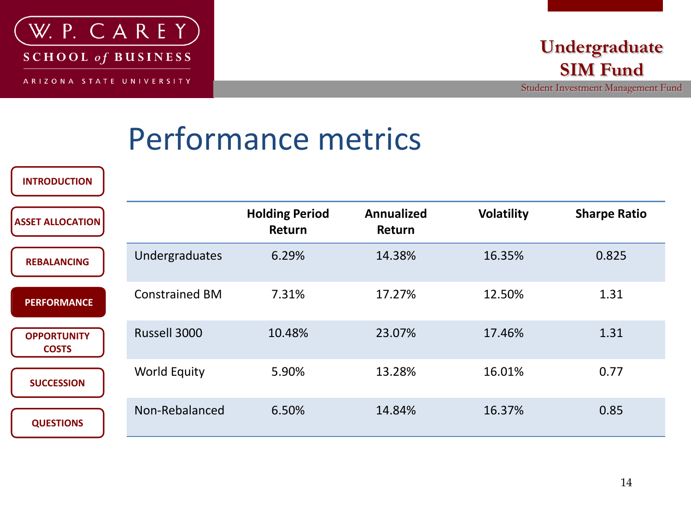

**INTRODUCTION**

Student Investment Management Fund

### Performance metrics

| <b>ASSET ALLOCATION</b>            |                       | <b>Holding Period</b><br>Return | <b>Annualized</b><br>Return | <b>Volatility</b> | <b>Sharpe Ratio</b> |
|------------------------------------|-----------------------|---------------------------------|-----------------------------|-------------------|---------------------|
| <b>REBALANCING</b>                 | Undergraduates        | 6.29%                           | 14.38%                      | 16.35%            | 0.825               |
| <b>PERFORMANCE</b>                 | <b>Constrained BM</b> | 7.31%                           | 17.27%                      | 12.50%            | 1.31                |
| <b>OPPORTUNITY</b><br><b>COSTS</b> | Russell 3000          | 10.48%                          | 23.07%                      | 17.46%            | 1.31                |
| <b>SUCCESSION</b>                  | <b>World Equity</b>   | 5.90%                           | 13.28%                      | 16.01%            | 0.77                |
| <b>QUESTIONS</b>                   | Non-Rebalanced        | 6.50%                           | 14.84%                      | 16.37%            | 0.85                |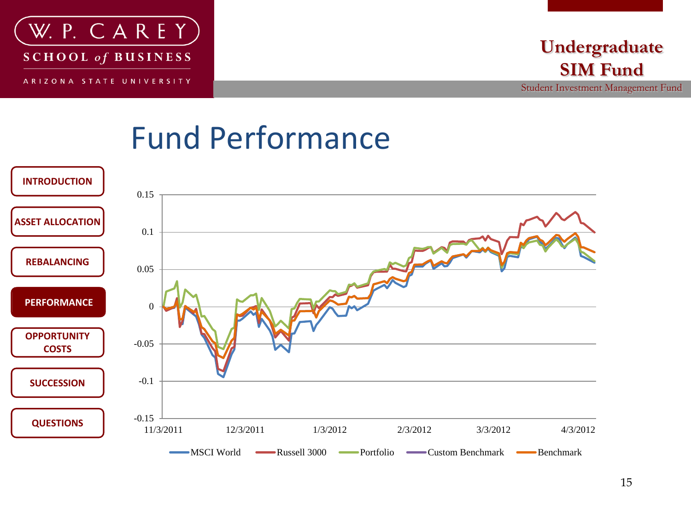

Student Investment Management Fund

### Fund Performance

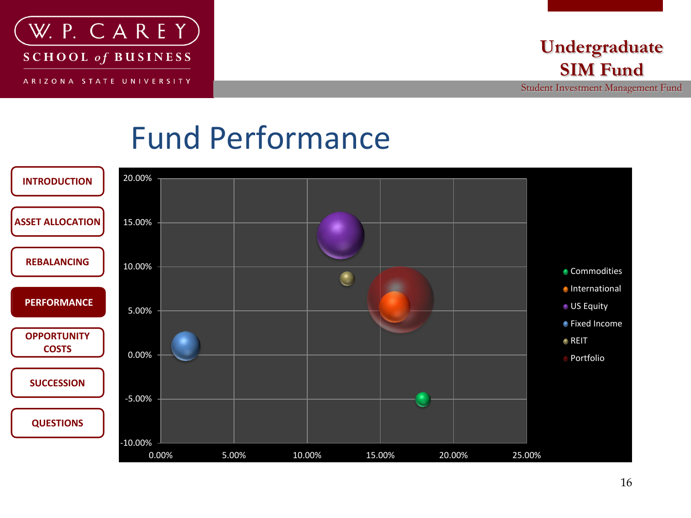

#### **Undergraduate SIM Fund**

Student Investment Management Fund

### Fund Performance

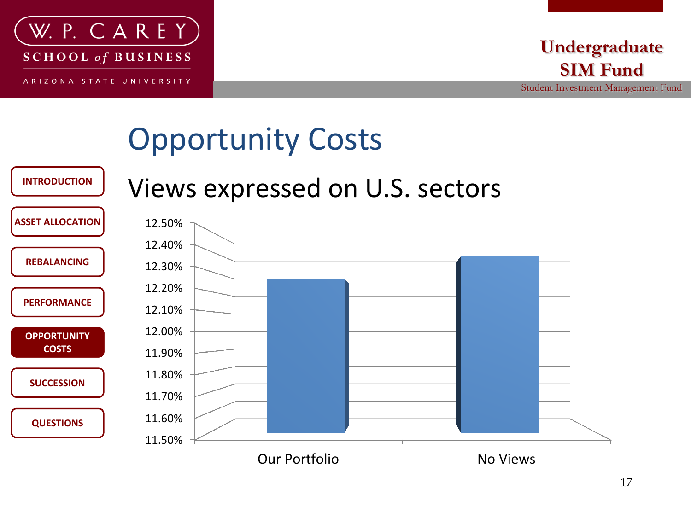

Student Investment Management Fund

# Opportunity Costs



#### Views expressed on U.S. sectors

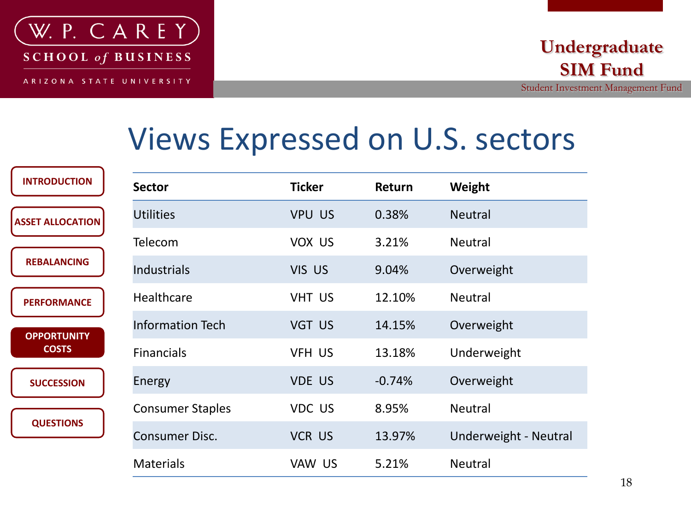

### Views Expressed on U.S. sectors

| <b>INTRODUCTION</b>                | <b>Sector</b>           | <b>Ticker</b> | Return   | Weight                |
|------------------------------------|-------------------------|---------------|----------|-----------------------|
| <b>ASSET ALLOCATION</b>            | <b>Utilities</b>        | <b>VPU US</b> | 0.38%    | <b>Neutral</b>        |
|                                    | <b>Telecom</b>          | VOX US        | 3.21%    | <b>Neutral</b>        |
| <b>REBALANCING</b>                 | <b>Industrials</b>      | <b>VIS US</b> | 9.04%    | Overweight            |
| <b>PERFORMANCE</b>                 | <b>Healthcare</b>       | <b>VHT US</b> | 12.10%   | <b>Neutral</b>        |
| <b>OPPORTUNITY</b><br><b>COSTS</b> | <b>Information Tech</b> | VGT US        | 14.15%   | Overweight            |
|                                    | <b>Financials</b>       | VFH US        | 13.18%   | Underweight           |
| <b>SUCCESSION</b>                  | Energy                  | <b>VDE US</b> | $-0.74%$ | Overweight            |
|                                    | <b>Consumer Staples</b> | VDC US        | 8.95%    | <b>Neutral</b>        |
| <b>QUESTIONS</b>                   | <b>Consumer Disc.</b>   | <b>VCR US</b> | 13.97%   | Underweight - Neutral |
|                                    | <b>Materials</b>        | VAW US        | 5.21%    | <b>Neutral</b>        |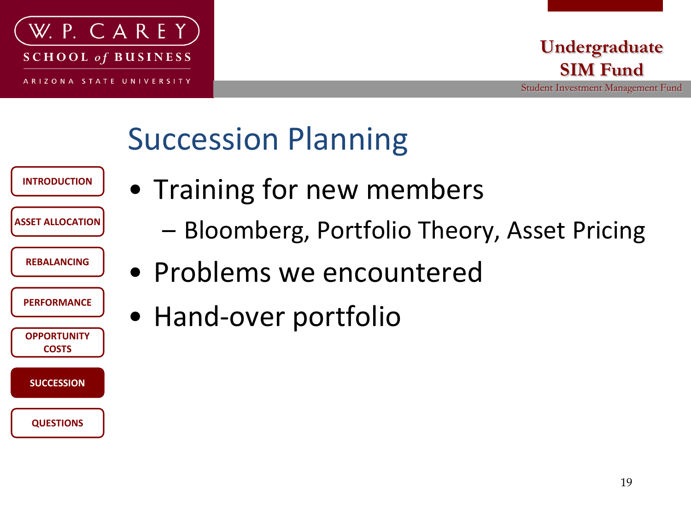

**INTRODUCTION**

**ASSET ALLOCATION**

**REBALANCING**

**PERFORMANCE**

**OPPORTUNITY COSTS**

**SUCCESSION**

**QUESTIONS**

#### **Undergraduate SIM Fund**

Student Investment Management Fund

# Succession Planning

- Training for new members
	- Bloomberg, Portfolio Theory, Asset Pricing
	- Problems we encountered
	- Hand-over portfolio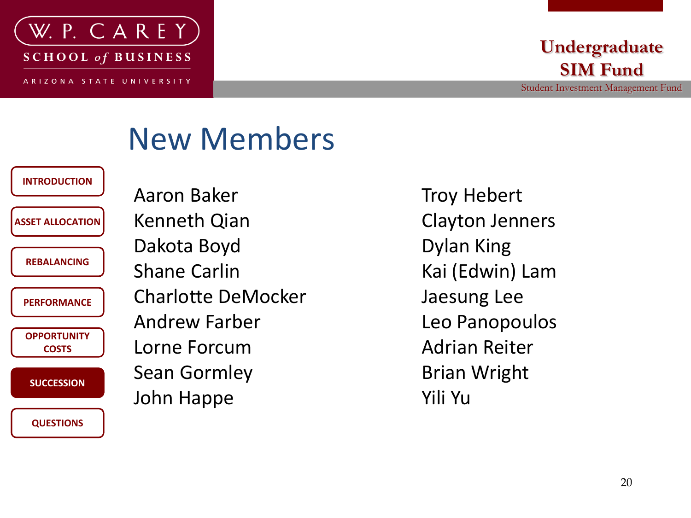

#### **Undergraduate SIM Fund**

Student Investment Management Fund

#### New Members

**ASSET ALLOCATION**

**INTRODUCTION**

**REBALANCING**

**PERFORMANCE**

**OPPORTUNITY COSTS**

**SUCCESSION**

**QUESTIONS**

Aaron Baker Kenneth Qian Dakota Boyd Shane Carlin Charlotte DeMocker Andrew Farber Lorne Forcum Sean Gormley John Happe

Troy Hebert Clayton Jenners Dylan King Kai (Edwin) Lam Jaesung Lee Leo Panopoulos Adrian Reiter Brian Wright Yili Yu